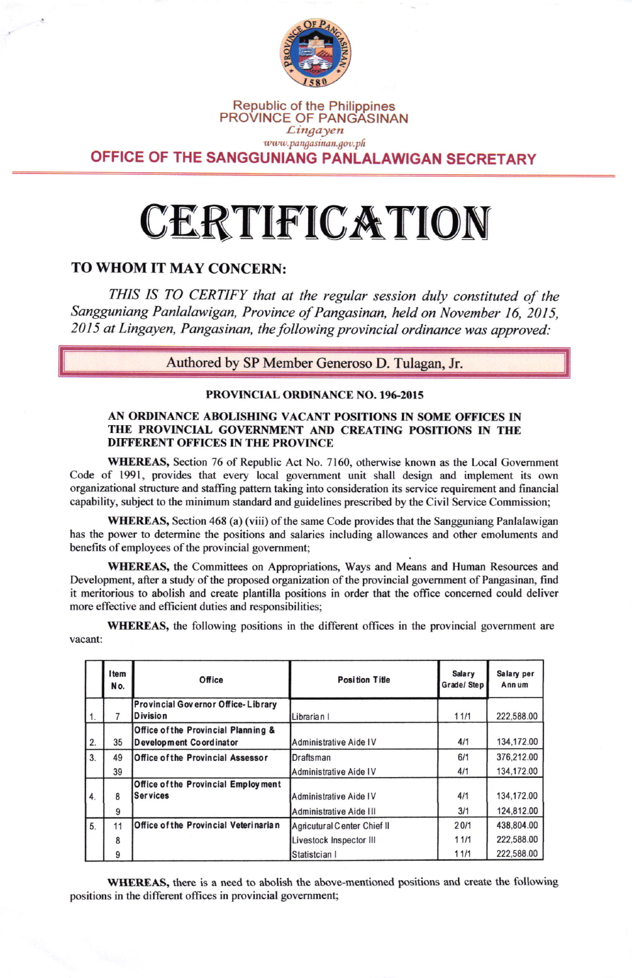

#### Republic of the Philippines PROVINCE OF PANGASINAN  $Lingayen$ www.pangasinan.gov.ph

OFFICE OF THE SANGGUNIANG PANLALAWIGAN SECRETARY

## CERTIFICATION

#### TO WHOM IT MAY CONCERN:

THIS IS TO CERTIFY that at the regular session duly constituted of the Sangguniang Panlalawigan, Province of Pangasinan, held on November 16, 2015, 2015 at Lingayen, Pangasinan, the following provincial ordinance was approved:

Authored by SP Member Generoso D. Tulagan, Jr.

#### PROVINCIAL ORDINANCE NO. 196-2015

#### AN ORDINANCE ABOLISHING VACANT POSITIONS IN SOME OFFICES IN THE PROVINCIAL GOVERNMENT AND CREATING POSITIONS IN THE DIFFERENT OFFICES IN THE PROVINCE

WHEREAS, Section 76 of Republic Act No. 7160, otherwise known as the Local Government Code of 1991, provides that every local govemment unit shall design and implement its own organizational structure and staffing pattem taking into consideration its service requirement and financial capability, subject to the minimum standard and guidelines prescribed by the Civil Service Commission;

WHEREAS, Section 468 (a) (viii) of the same Code provides that the Sangguniang Panlalawigan has the power to determine the positions and salaries including allowances and other emoluments and benefits of employees of the provincial govemment;

WHEREAS, the Committees on Appropriations, Ways and Means and Human Resources and Development, after a study of the proposed organization of the provincial government of Pangasinan, find it meritorious to abolish and create plantilla positions in order that the office concemed could deliver more effective and efficient duties and responsibilities;

WHEREAS, the following positions in the different offices in the provincial government are vacant:

|    | Item<br>No. | Office                                                         | <b>Position Title</b>       | <b>Salary</b><br>Grade/Step | Salary per<br>Annum |
|----|-------------|----------------------------------------------------------------|-----------------------------|-----------------------------|---------------------|
|    |             | Provincial Governor Office-Library<br>Division                 |                             | 11/1                        | 222,588.00          |
| 1. |             |                                                                | Librarian I                 |                             |                     |
| 2. | 35          | Office of the Provincial Planning &<br>Development Coordinator | Administrative Aide IV      | 4/1                         | 134,172.00          |
| 3. | 49          | Office of the Provincial Assessor                              | Draftsman                   | 6/1                         | 376,212.00          |
|    | 39          |                                                                | Administrative Aide IV      | 4/1                         | 134,172.00          |
|    |             | Office of the Provincial Employment                            |                             |                             |                     |
| 4. | 8           | lSer vices                                                     | Administrative Aide IV      | 4/1                         | 134,172.00          |
|    | 9           |                                                                | Administrative Aide III     | 3/1                         | 124.812.00          |
| 5. | 11          | Office of the Provincial Veterinarian                          | Agricutural Center Chief II | 20/1                        | 438,804.00          |
|    | 8           |                                                                | Livestock Inspector III     | 11/1                        | 222,588.00          |
|    | 9           |                                                                | Statistcian I               | 11/1                        | 222,588.00          |

WHEREAS, there is a need to abolish the above-mentioned positions and create the following positions in the different offices in provincial govemment;